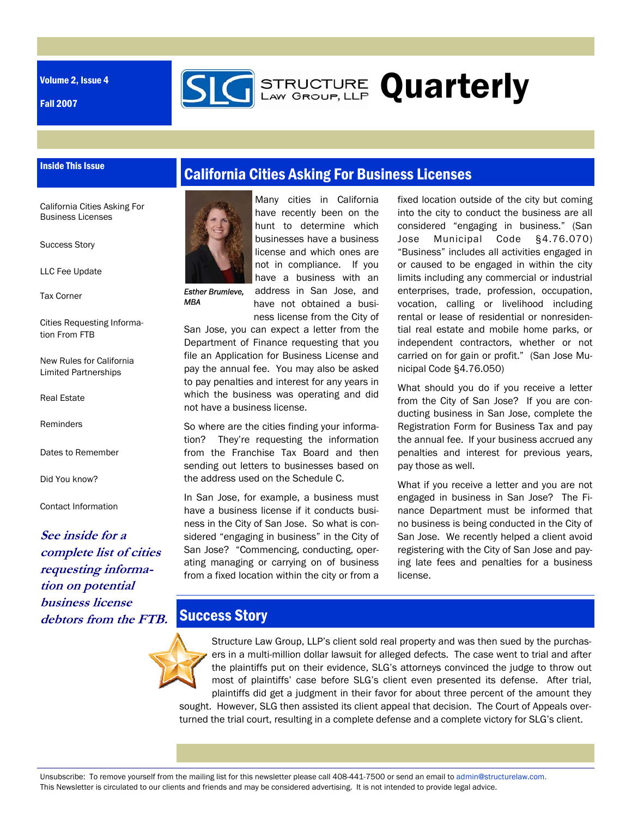Volume 2, Issue 4

Inside This Issue

Fall 2007



**STRUCTURE Quarterly** 

California Cities Asking For Business Licenses

Success Story

LLC Fee Update

Tax Corner

Cities Requesting Information From FTB

New Rules for California Limited Partnerships

Real Estate

Reminders

Dates to Remember

Did You know?

Contact Information

**See inside for a complete list of cities requesting information on potential business license debtors from the FTB.** 



Many cities in California have recently been on the hunt to determine which businesses have a business license and which ones are not in compliance. If you have a business with an address in San Jose, and

have not obtained a business license from the City of

*Esther Brumleve, MBA* 

San Jose, you can expect a letter from the Department of Finance requesting that you file an Application for Business License and pay the annual fee. You may also be asked to pay penalties and interest for any years in which the business was operating and did not have a business license.

So where are the cities finding your information? They're requesting the information from the Franchise Tax Board and then sending out letters to businesses based on the address used on the Schedule C.

In San Jose, for example, a business must have a business license if it conducts business in the City of San Jose. So what is considered "engaging in business" in the City of San Jose? "Commencing, conducting, operating managing or carrying on of business from a fixed location within the city or from a

fixed location outside of the city but coming into the city to conduct the business are all considered "engaging in business." (San Jose Municipal Code §4.76.070) "Business" includes all activities engaged in or caused to be engaged in within the city limits including any commercial or industrial enterprises, trade, profession, occupation, vocation, calling or livelihood including rental or lease of residential or nonresidential real estate and mobile home parks, or independent contractors, whether or not carried on for gain or profit." (San Jose Municipal Code §4.76.050)

What should you do if you receive a letter from the City of San Jose? If you are conducting business in San Jose, complete the Registration Form for Business Tax and pay the annual fee. If your business accrued any penalties and interest for previous years, pay those as well.

What if you receive a letter and you are not engaged in business in San Jose? The Finance Department must be informed that no business is being conducted in the City of San Jose. We recently helped a client avoid registering with the City of San Jose and paying late fees and penalties for a business license.

## **Success Story**

Structure Law Group, LLP's client sold real property and was then sued by the purchasers in a multi-million dollar lawsuit for alleged defects. The case went to trial and after the plaintiffs put on their evidence, SLG's attorneys convinced the judge to throw out most of plaintiffs' case before SLG's client even presented its defense. After trial, plaintiffs did get a judgment in their favor for about three percent of the amount they sought. However, SLG then assisted its client appeal that decision. The Court of Appeals overturned the trial court, resulting in a complete defense and a complete victory for SLG's client.

Unsubscribe: To remove yourself from the mailing list for this newsletter please call 408-441-7500 or send an email to admin@structurelaw.com. This Newsletter is circulated to our clients and friends and may be considered advertising. It is not intended to provide legal advice.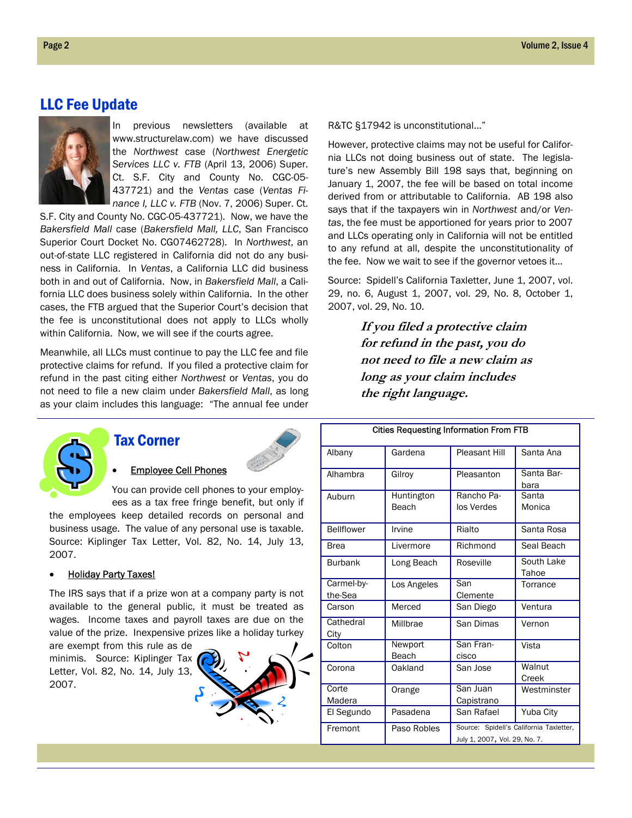### LLC Fee Update



In previous newsletters (available at www.structurelaw.com) we have discussed the *Northwest* case (*Northwest Energetic*  Services LLC v. FTB (April 13, 2006) Super. Ct. S.F. City and County No. CGC-05- 437721) and the *Ventas* case (*Ventas Finance I, LLC v. FTB* (Nov. 7, 2006) Super. Ct.

S.F. City and County No. CGC-05-437721). Now, we have the *Bakersfield Mall* case (*Bakersfield Mall, LLC*, San Francisco Superior Court Docket No. CG07462728). In *Northwest*, an out-of-state LLC registered in California did not do any business in California. In *Ventas*, a California LLC did business both in and out of California. Now, in *Bakersfield Mall*, a California LLC does business solely within California. In the other cases, the FTB argued that the Superior Court's decision that the fee is unconstitutional does not apply to LLCs wholly within California. Now, we will see if the courts agree.

Meanwhile, all LLCs must continue to pay the LLC fee and file protective claims for refund. If you filed a protective claim for refund in the past citing either *Northwest* or *Ventas*, you do not need to file a new claim under *Bakersfield Mall*, as long as your claim includes this language: "The annual fee under



### Tax Corner



**Employee Cell Phones** 

You can provide cell phones to your employees as a tax free fringe benefit, but only if

the employees keep detailed records on personal and business usage. The value of any personal use is taxable. Source: Kiplinger Tax Letter, Vol. 82, No. 14, July 13, 2007.

#### **Holiday Party Taxes!**

The IRS says that if a prize won at a company party is not available to the general public, it must be treated as wages. Income taxes and payroll taxes are due on the value of the prize. Inexpensive prizes like a holiday turkey

are exempt from this rule as de minimis. Source: Kiplinger Tax Letter, Vol. 82, No. 14, July 13, 2007.



R&TC §17942 is unconstitutional…"

However, protective claims may not be useful for California LLCs not doing business out of state. The legislature's new Assembly Bill 198 says that, beginning on January 1, 2007, the fee will be based on total income derived from or attributable to California. AB 198 also says that if the taxpayers win in *Northwest* and/or *Ventas*, the fee must be apportioned for years prior to 2007 and LLCs operating only in California will not be entitled to any refund at all, despite the unconstitutionality of the fee. Now we wait to see if the governor vetoes it…

Source: Spidell's California Taxletter, June 1, 2007, vol. 29, no. 6, August 1, 2007, vol. 29, No. 8, October 1, 2007, vol. 29, No. 10.

> **If you filed a protective claim for refund in the past, you do not need to file a new claim as long as your claim includes the right language.**

| <b>Cities Requesting Information From FTB</b> |                     |                                                                          |                     |
|-----------------------------------------------|---------------------|--------------------------------------------------------------------------|---------------------|
| Albany                                        | Gardena             | <b>Pleasant Hill</b>                                                     | Santa Ana           |
| Alhambra                                      | Gilroy              | Pleasanton                                                               | Santa Bar-<br>bara  |
| Auburn                                        | Huntington<br>Beach | Rancho Pa-<br>los Verdes                                                 | Santa<br>Monica     |
| <b>Bellflower</b>                             | Irvine              | Rialto                                                                   | Santa Rosa          |
| <b>Brea</b>                                   | Livermore           | Richmond                                                                 | Seal Beach          |
| <b>Burbank</b>                                | Long Beach          | Roseville                                                                | South Lake<br>Tahoe |
| Carmel-by-<br>the-Sea                         | Los Angeles         | San<br>Clemente                                                          | Torrance            |
| Carson                                        | Merced              | San Diego                                                                | Ventura             |
| Cathedral<br>City                             | Millbrae            | San Dimas                                                                | Vernon              |
| Colton                                        | Newport<br>Beach    | San Fran-<br>cisco                                                       | Vista               |
| Corona                                        | Oakland             | San Jose                                                                 | Walnut<br>Creek     |
| Corte<br>Madera                               | Orange              | San Juan<br>Capistrano                                                   | Westminster         |
| El Segundo                                    | Pasadena            | San Rafael                                                               | Yuba City           |
| Fremont                                       | Paso Robles         | Source: Spidell's California Taxletter,<br>July 1, 2007, Vol. 29, No. 7. |                     |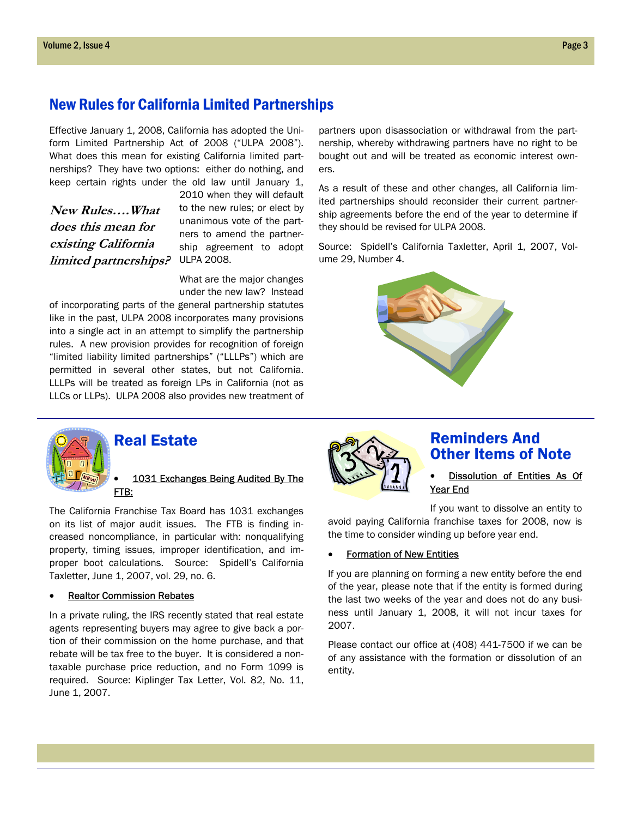## New Rules for California Limited Partnerships

Effective January 1, 2008, California has adopted the Uniform Limited Partnership Act of 2008 ("ULPA 2008"). What does this mean for existing California limited partnerships? They have two options: either do nothing, and keep certain rights under the old law until January 1,

*limited partnerships?* ULPA 2008. **New Rules….What does this mean for existing California** 

2010 when they will default to the new rules; or elect by unanimous vote of the partners to amend the partnership agreement to adopt

What are the major changes under the new law? Instead

of incorporating parts of the general partnership statutes like in the past, ULPA 2008 incorporates many provisions into a single act in an attempt to simplify the partnership rules. A new provision provides for recognition of foreign "limited liability limited partnerships" ("LLLPs") which are permitted in several other states, but not California. LLLPs will be treated as foreign LPs in California (not as LLCs or LLPs). ULPA 2008 also provides new treatment of

partners upon disassociation or withdrawal from the partnership, whereby withdrawing partners have no right to be bought out and will be treated as economic interest owners.

As a result of these and other changes, all California limited partnerships should reconsider their current partnership agreements before the end of the year to determine if they should be revised for ULPA 2008.

Source: Spidell's California Taxletter, April 1, 2007, Volume 29, Number 4.





## Real Estate

#### 1031 Exchanges Being Audited By The FTB:

The California Franchise Tax Board has 1031 exchanges on its list of major audit issues. The FTB is finding increased noncompliance, in particular with: nonqualifying property, timing issues, improper identification, and improper boot calculations. Source: Spidell's California Taxletter, June 1, 2007, vol. 29, no. 6.

#### **Realtor Commission Rebates**

In a private ruling, the IRS recently stated that real estate agents representing buyers may agree to give back a portion of their commission on the home purchase, and that rebate will be tax free to the buyer. It is considered a nontaxable purchase price reduction, and no Form 1099 is required. Source: Kiplinger Tax Letter, Vol. 82, No. 11, June 1, 2007.



### Reminders And Other Items of Note

**Dissolution of Entities As Of** Year End

If you want to dissolve an entity to

avoid paying California franchise taxes for 2008, now is the time to consider winding up before year end.

#### **Formation of New Entities**

If you are planning on forming a new entity before the end of the year, please note that if the entity is formed during the last two weeks of the year and does not do any business until January 1, 2008, it will not incur taxes for 2007.

Please contact our office at (408) 441-7500 if we can be of any assistance with the formation or dissolution of an entity.